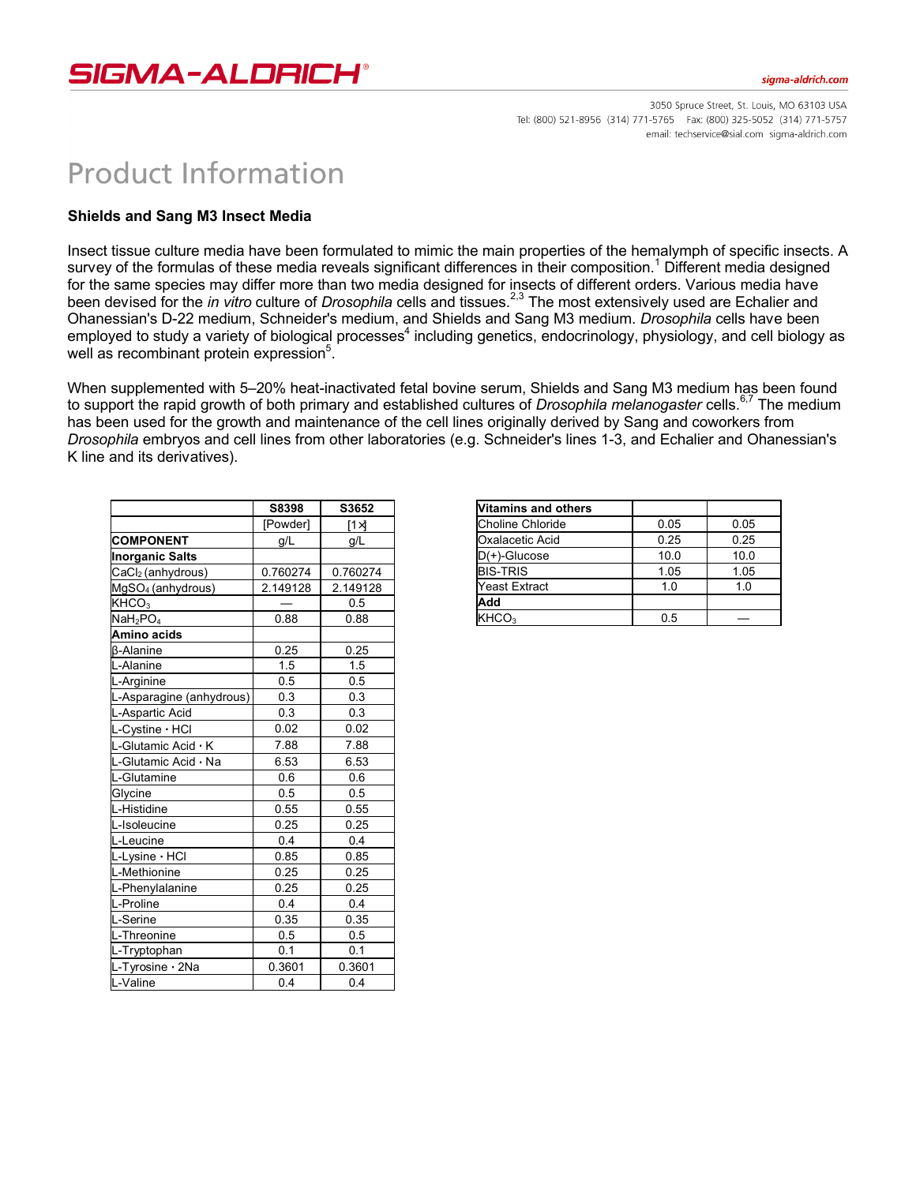

3050 Spruce Street, St. Louis, MO 63103 USA Tel: (800) 521-8956 (314) 771-5765 Fax: (800) 325-5052 (314) 771-5757 email: techservice@sial.com sigma-aldrich.com

## **Product Information**

## **Shields and Sang M3 Insect Media**

Insect tissue culture media have been formulated to mimic the main properties of the hemalymph of specific insects. A survey of the formulas of these media reveals significant differences in their composition.<sup>1</sup> Different media designed for the same species may differ more than two media designed for insects of different orders. Various media have been devised for the *in vitro* culture of *Drosophila* cells and tissues.<sup>2,3</sup> The most extensively used are Echalier and Ohanessian's D-22 medium, Schneider's medium, and Shields and Sang M3 medium. *Drosophila* cells have been employed to study a variety of biological processes<sup>4</sup> including genetics, endocrinology, physiology, and cell biology as well as recombinant protein expression<sup>5</sup>.

When supplemented with 5–20% heat-inactivated fetal bovine serum, Shields and Sang M3 medium has been found to support the rapid growth of both primary and established cultures of *Drosophila melanogaster* cells.<sup>6,7</sup> The medium has been used for the growth and maintenance of the cell lines originally derived by Sang and coworkers from *Drosophila* embryos and cell lines from other laboratories (e.g. Schneider's lines 1-3, and Echalier and Ohanessian's K line and its derivatives).

|                                  | S8398    | S3652        |
|----------------------------------|----------|--------------|
|                                  | [Powder] | $[1 \times]$ |
| <b>COMPONENT</b>                 | g/L      | g/L          |
| <b>Inorganic Salts</b>           |          |              |
| CaCl <sub>2</sub> (anhydrous)    | 0.760274 | 0.760274     |
| $MgSO4$ (anhydrous)              | 2.149128 | 2.149128     |
| KHCO <sub>3</sub>                |          | 0.5          |
| NaH <sub>2</sub> PO <sub>4</sub> | 0.88     | 0.88         |
| Amino acids                      |          |              |
| <b>ß-Alanine</b>                 | 0.25     | 0.25         |
| L-Alanine                        | 1.5      | 1.5          |
| L-Arginine                       | 0.5      | 0.5          |
| L-Asparagine (anhydrous)         | 0.3      | 0.3          |
| L-Aspartic Acid                  | 0.3      | 0.3          |
| L-Cystine · HCI                  | 0.02     | 0.02         |
| L-Glutamic Acid · K              | 7.88     | 7.88         |
| L-Glutamic Acid · Na             | 6.53     | 6.53         |
| L-Glutamine                      | 0.6      | 0.6          |
| Glycine                          | 0.5      | 0.5          |
| L-Histidine                      | 0.55     | 0.55         |
| L-Isoleucine                     | 0.25     | 0.25         |
| L-Leucine                        | 0.4      | 0.4          |
| L-Lysine · HCI                   | 0.85     | 0.85         |
| L-Methionine                     | 0.25     | 0.25         |
| L-Phenylalanine                  | 0.25     | 0.25         |
| L-Proline                        | 0.4      | 0.4          |
| L-Serine                         | 0.35     | 0.35         |
| L-Threonine                      | 0.5      | 0.5          |
| L-Tryptophan                     | 0.1      | 0.1          |
| L-Tyrosine · 2Na                 | 0.3601   | 0.3601       |
| L-Valine                         | 0.4      | 0.4          |

| Vitamins and others  |      |      |
|----------------------|------|------|
| Choline Chloride     | 0.05 | 0.05 |
| Oxalacetic Acid      | 0.25 | 0.25 |
| $D(+)$ -Glucose      | 10.0 | 10.0 |
| <b>BIS-TRIS</b>      | 1.05 | 1.05 |
| <b>Yeast Extract</b> | 1.0  | 1.0  |
| Add                  |      |      |
| KHCO <sub>3</sub>    | 0.5  |      |